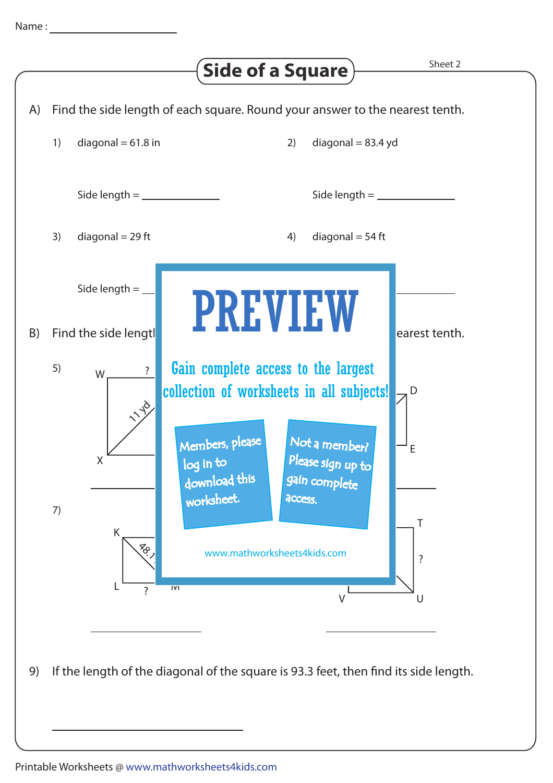